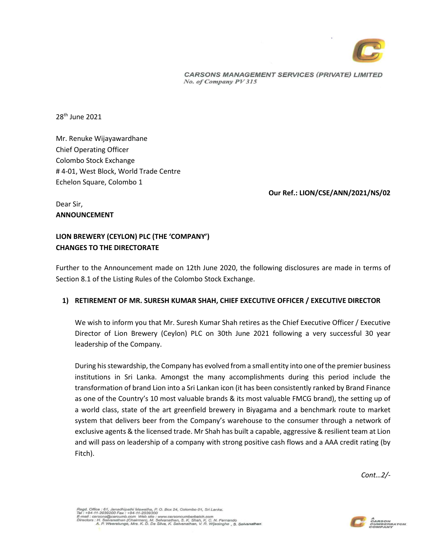

**CARSONS MANAGEMENT SERVICES (PRIVATE) LIMITED** No. of Company PV 315

28th June 2021

Mr. Renuke Wijayawardhane Chief Operating Officer Colombo Stock Exchange # 4-01, West Block, World Trade Centre Echelon Square, Colombo 1

#### **Our Ref.: LION/CSE/ANN/2021/NS/02**

Dear Sir, **ANNOUNCEMENT** 

# **LION BREWERY (CEYLON) PLC (THE 'COMPANY') CHANGES TO THE DIRECTORATE**

Further to the Announcement made on 12th June 2020, the following disclosures are made in terms of Section 8.1 of the Listing Rules of the Colombo Stock Exchange.

#### **1) RETIREMENT OF MR. SURESH KUMAR SHAH, CHIEF EXECUTIVE OFFICER / EXECUTIVE DIRECTOR**

We wish to inform you that Mr. Suresh Kumar Shah retires as the Chief Executive Officer / Executive Director of Lion Brewery (Ceylon) PLC on 30th June 2021 following a very successful 30 year leadership of the Company.

During his stewardship, the Company has evolved from a small entity into one of the premier business institutions in Sri Lanka. Amongst the many accomplishments during this period include the transformation of brand Lion into a Sri Lankan icon (it has been consistently ranked by Brand Finance as one of the Country's 10 most valuable brands & its most valuable FMCG brand), the setting up of a world class, state of the art greenfield brewery in Biyagama and a benchmark route to market system that delivers beer from the Company's warehouse to the consumer through a network of exclusive agents & the licensed trade. Mr Shah has built a capable, aggressive & resilient team at Lion and will pass on leadership of a company with strong positive cash flows and a AAA credit rating (by Fitch).

*Cont…2/-*

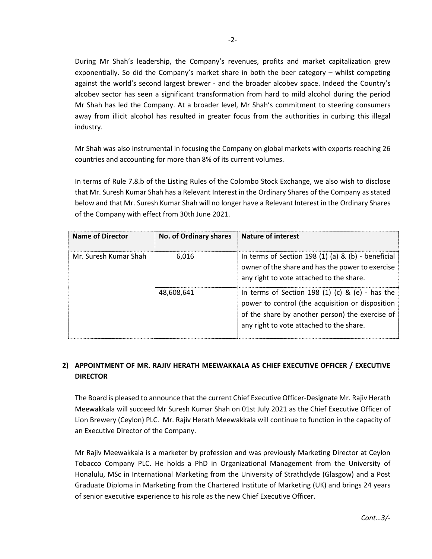During Mr Shah's leadership, the Company's revenues, profits and market capitalization grew exponentially. So did the Company's market share in both the beer category – whilst competing against the world's second largest brewer - and the broader alcobev space. Indeed the Country's alcobev sector has seen a significant transformation from hard to mild alcohol during the period Mr Shah has led the Company. At a broader level, Mr Shah's commitment to steering consumers away from illicit alcohol has resulted in greater focus from the authorities in curbing this illegal industry.

Mr Shah was also instrumental in focusing the Company on global markets with exports reaching 26 countries and accounting for more than 8% of its current volumes.

In terms of Rule 7.8.b of the Listing Rules of the Colombo Stock Exchange, we also wish to disclose that Mr. Suresh Kumar Shah has a Relevant Interest in the Ordinary Shares of the Company as stated below and that Mr. Suresh Kumar Shah will no longer have a Relevant Interest in the Ordinary Shares of the Company with effect from 30th June 2021.

| Name of Director      | No. of Ordinary shares Nature of interest |                                                                                                                                                                                                          |
|-----------------------|-------------------------------------------|----------------------------------------------------------------------------------------------------------------------------------------------------------------------------------------------------------|
| Mr. Suresh Kumar Shah | 6.016                                     | In terms of Section 198 $(1)$ $(a)$ & $(b)$ - beneficial<br>owner of the share and has the power to exercise<br>any right to vote attached to the share.                                                 |
|                       | 48,608,641                                | In terms of Section 198 $(1)$ $(c)$ & $(e)$ - has the<br>power to control (the acquisition or disposition<br>of the share by another person) the exercise of<br>any right to vote attached to the share. |

# **2) APPOINTMENT OF MR. RAJIV HERATH MEEWAKKALA AS CHIEF EXECUTIVE OFFICER / EXECUTIVE DIRECTOR**

The Board is pleased to announce that the current Chief Executive Officer-Designate Mr. Rajiv Herath Meewakkala will succeed Mr Suresh Kumar Shah on 01st July 2021 as the Chief Executive Officer of Lion Brewery (Ceylon) PLC. Mr. Rajiv Herath Meewakkala will continue to function in the capacity of an Executive Director of the Company.

Mr Rajiv Meewakkala is a marketer by profession and was previously Marketing Director at Ceylon Tobacco Company PLC. He holds a PhD in Organizational Management from the University of Honalulu, MSc in International Marketing from the University of Strathclyde (Glasgow) and a Post Graduate Diploma in Marketing from the Chartered Institute of Marketing (UK) and brings 24 years of senior executive experience to his role as the new Chief Executive Officer.